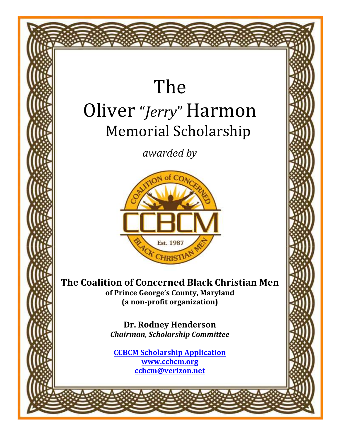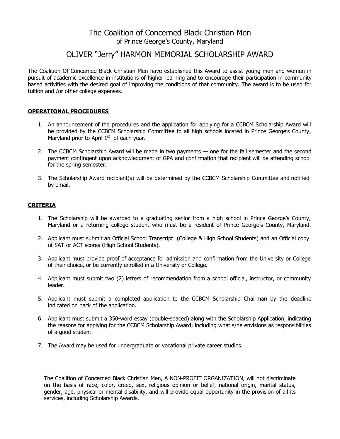## The Coalition of Concerned Black Christian Men of Prince George's County, Maryland

## OLIVER "Jerry" HARMON MEMORIAL SCHOLARSHIP AWARD

The Coalition Of Concerned Black Christian Men have established this Award to assist young men and women in pursuit of academic excellence in institutions of higher learning and to encourage their participation in community based activities with the desired goal of improving the conditions of that community. The award is to be used for tuition and /or other college expenses.

#### **OPERATIONAL PROCEDURES**

- 1. An announcement of the procedures and the application for applying for a CCBCM Scholarship Award will be provided by the CCBCM Scholarship Committee to all high schools located in Prince George's County, Maryland prior to April  $1<sup>st</sup>$  of each year.
- 2. The CCBCM Scholarship Award will be made in two payments one for the fall semester and the second payment contingent upon acknowledgment of GPA and confirmation that recipient will be attending school for the spring semester.
- 3. The Scholarship Award recipient(s) will be determined by the CCBCM Scholarship Committee and notified by email.

#### **CRITERIA**

- 1. The Scholarship will be awarded to a graduating senior from a high school in Prince George's County, Maryland or a returning college student who must be a resident of Prince George's County, Maryland.
- 2. Applicant must submit an Official School Transcript (College & High School Students) and an Official copy of SAT or ACT scores (High School Students).
- 3. Applicant must provide proof of acceptance for admission and confirmation from the University or College of their choice, or be currently enrolled in a University or College.
- 4. Applicant must submit two (2) letters of recommendation from a school official, instructor, or community leader.
- 5. Applicant must submit a completed application to the CCBCM Scholarship Chairman by the deadline indicated on back of the application.
- 6. Applicant must submit a 350-word essay (double-spaced) along with the Scholarship Application, indicating the reasons for applying for the CCBCM Scholarship Award; including what s/he envisions as responsibilities of a good student.
- 7. The Award may be used for undergraduate or vocational private career studies.

The Coalition of Concerned Black Christian Men, A NON-PROFIT ORGANIZATION, will not discriminate on the basis of race, color, creed, sex, religious opinion or belief, national origin, marital status, gender, age, physical or mental disability, and will provide equal opportunity in the provision of all its services, including Scholarship Awards.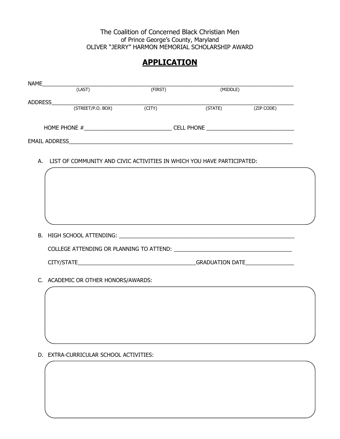### The Coalition of Concerned Black Christian Men of Prince George's County, Maryland OLIVER "JERRY" HARMON MEMORIAL SCHOLARSHIP AWARD

# **APPLICATION**

| <b>NAME</b>          |                   |         |                   |            |
|----------------------|-------------------|---------|-------------------|------------|
|                      | (LAST)            | (FIRST) | (MIDDLE)          |            |
| <b>ADDRESS</b>       |                   |         |                   |            |
|                      | (STREET/P.O. BOX) | (CITY)  | (STATE)           | (ZIP CODE) |
|                      |                   |         |                   |            |
| HOME PHONE #         |                   |         | <b>CELL PHONE</b> |            |
| <b>EMAIL ADDRESS</b> |                   |         |                   |            |
|                      |                   |         |                   |            |

A. LIST OF COMMUNITY AND CIVIC ACTIVITIES IN WHICH YOU HAVE PARTICIPATED:

| COLLEGE ATTENDING OR PLANNING TO ATTEND: |  |
|------------------------------------------|--|
| CITY/STATE GRADUATION DATE               |  |
| C. ACADEMIC OR OTHER HONORS/AWARDS:      |  |

D. EXTRA-CURRICULAR SCHOOL ACTIVITIES: